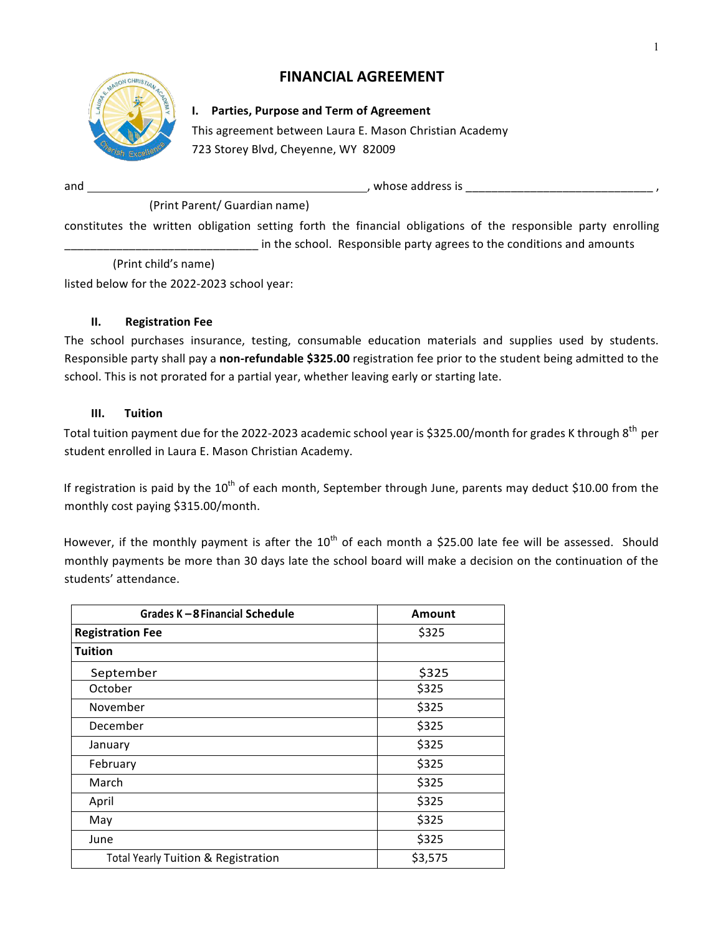# **FINANCIAL AGREEMENT**



# **I. Parties, Purpose and Term of Agreement**

This agreement between Laura E. Mason Christian Academy 723 Storey Blvd, Cheyenne, WY 82009

and  $\blacksquare$  and  $\blacksquare$  and  $\blacksquare$  and  $\blacksquare$  and  $\blacksquare$  and  $\blacksquare$  and  $\blacksquare$  and  $\blacksquare$  and  $\blacksquare$  and  $\blacksquare$  and  $\blacksquare$  and  $\blacksquare$  and  $\blacksquare$  and  $\blacksquare$  and  $\blacksquare$  and  $\blacksquare$  and  $\blacksquare$  and  $\blacksquare$  and  $\blacksquare$  and  $\blacksquare$  a

(Print Parent/ Guardian name)

constitutes the written obligation setting forth the financial obligations of the responsible party enrolling in the school. Responsible party agrees to the conditions and amounts

 (Print child's name)

listed below for the 2022-2023 school year:

## **II. Registration Fee**

The school purchases insurance, testing, consumable education materials and supplies used by students. Responsible party shall pay a non-refundable \$325.00 registration fee prior to the student being admitted to the school. This is not prorated for a partial year, whether leaving early or starting late.

## **III. Tuition**

Total tuition payment due for the 2022-2023 academic school year is \$325.00/month for grades K through 8<sup>th</sup> per student enrolled in Laura E. Mason Christian Academy.

If registration is paid by the  $10^{th}$  of each month, September through June, parents may deduct \$10.00 from the monthly cost paying \$315.00/month.

However, if the monthly payment is after the  $10^{th}$  of each month a \$25.00 late fee will be assessed. Should monthly payments be more than 30 days late the school board will make a decision on the continuation of the students' attendance.

| Grades K-8 Financial Schedule                  | <b>Amount</b> |
|------------------------------------------------|---------------|
| <b>Registration Fee</b>                        | \$325         |
| <b>Tuition</b>                                 |               |
| September                                      | \$325         |
| October                                        | \$325         |
| November                                       | \$325         |
| December                                       | \$325         |
| January                                        | \$325         |
| February                                       | \$325         |
| March                                          | \$325         |
| April                                          | \$325         |
| May                                            | \$325         |
| June                                           | \$325         |
| <b>Total Yearly Tuition &amp; Registration</b> | \$3,575       |